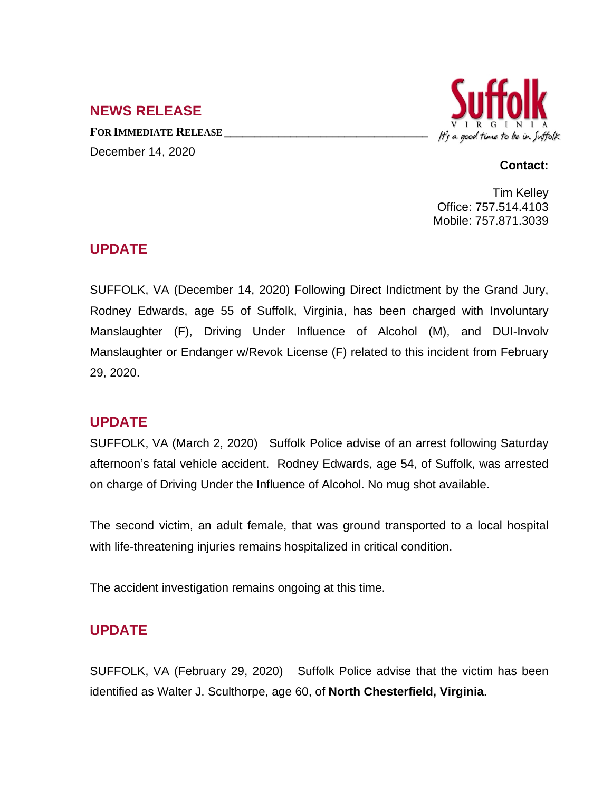## **NEWS RELEASE**

**FOR IMMEDIATE RELEASE \_\_\_\_\_\_\_\_\_\_\_\_\_\_\_\_\_\_\_\_\_\_\_\_\_\_\_\_\_\_\_\_\_\_** December 14, 2020



#### **Contact:**

Tim Kelley Office: 757.514.4103 Mobile: 757.871.3039

## **UPDATE**

SUFFOLK, VA (December 14, 2020) Following Direct Indictment by the Grand Jury, Rodney Edwards, age 55 of Suffolk, Virginia, has been charged with Involuntary Manslaughter (F), Driving Under Influence of Alcohol (M), and DUI-Involv Manslaughter or Endanger w/Revok License (F) related to this incident from February 29, 2020.

# **UPDATE**

SUFFOLK, VA (March 2, 2020) Suffolk Police advise of an arrest following Saturday afternoon's fatal vehicle accident. Rodney Edwards, age 54, of Suffolk, was arrested on charge of Driving Under the Influence of Alcohol. No mug shot available.

The second victim, an adult female, that was ground transported to a local hospital with life-threatening injuries remains hospitalized in critical condition.

The accident investigation remains ongoing at this time.

# **UPDATE**

SUFFOLK, VA (February 29, 2020) Suffolk Police advise that the victim has been identified as Walter J. Sculthorpe, age 60, of **North Chesterfield, Virginia**.